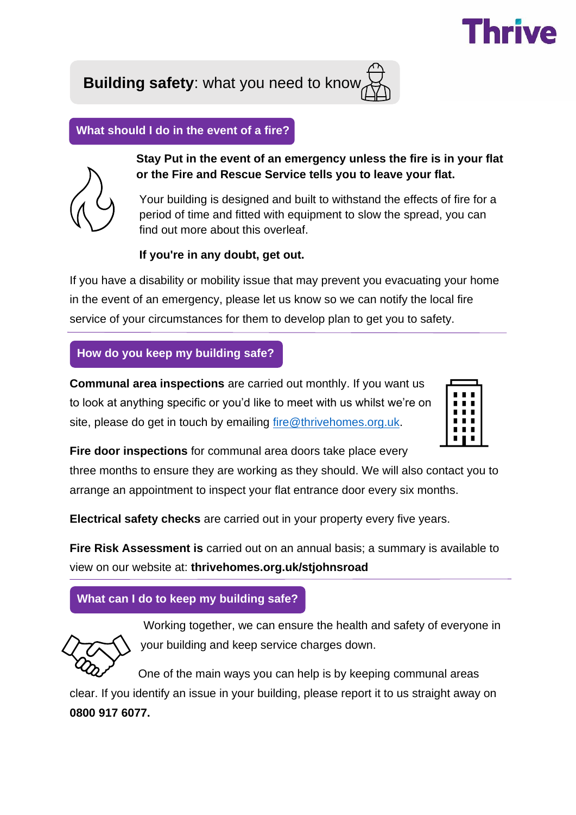

**Building safety**: what you need to know

**What should I do in the event of a fire?**



**Stay Put in the event of an emergency unless the fire is in your flat or the Fire and Rescue Service tells you to leave your flat.**

Your building is designed and built to withstand the effects of fire for a period of time and fitted with equipment to slow the spread, you can find out more about this overleaf.

# **If you're in any doubt, get out.**

If you have a disability or mobility issue that may prevent you evacuating your home in the event of an emergency, please let us know so we can notify the local fire service of your circumstances for them to develop plan to get you to safety.

# **How do you keep my building safe?**

**Communal area inspections** are carried out monthly. If you want us to look at anything specific or you'd like to meet with us whilst we're on site, please do get in touch by emailing [fire@thrivehomes.org.uk.](mailto:fire@thrivehomes.org.uk)



**Fire door inspections** for communal area doors take place every

three months to ensure they are working as they should. We will also contact you to arrange an appointment to inspect your flat entrance door every six months.

**Electrical safety checks** are carried out in your property every five years.

**Fire Risk Assessment is** carried out on an annual basis; a summary is available to view on our website at: **thrivehomes.org.uk/stjohnsroad**

# **What can I do to keep my building safe?**



 Working together, we can ensure the health and safety of everyone in your building and keep service charges down.

 One of the main ways you can help is by keeping communal areas clear. If you identify an issue in your building, please report it to us straight away on **0800 917 6077.**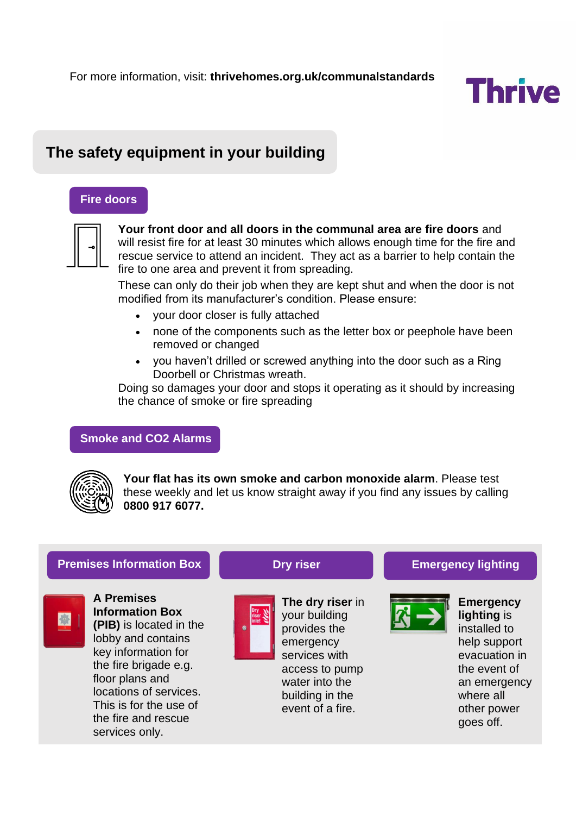

# **The safety equipment in your building**

### **Fire doors**



**Your front door and all doors in the communal area are fire doors** and will resist fire for at least 30 minutes which allows enough time for the fire and rescue service to attend an incident. They act as a barrier to help contain the fire to one area and prevent it from spreading.

These can only do their job when they are kept shut and when the door is not modified from its manufacturer's condition. Please ensure:

- your door closer is fully attached
- none of the components such as the letter box or peephole have been removed or changed
- you haven't drilled or screwed anything into the door such as a Ring Doorbell or Christmas wreath.

Doing so damages your door and stops it operating as it should by increasing the chance of smoke or fire spreading

### **Smoke and CO2 Alarms**



**Your flat has its own smoke and carbon monoxide alarm**. Please test these weekly and let us know straight away if you find any issues by calling **0800 917 6077.**

### **Premises Information Box Dry riser Communist Emergency lighting**



**A Premises Information Box (PIB)** is located in the lobby and contains key information for the fire brigade e.g. floor plans and locations of services. This is for the use of the fire and rescue services only.



**The dry riser** in your building provides the emergency services with access to pump water into the building in the event of a fire.



**Emergency lighting** is installed to help support evacuation in the event of an emergency where all other power goes off.